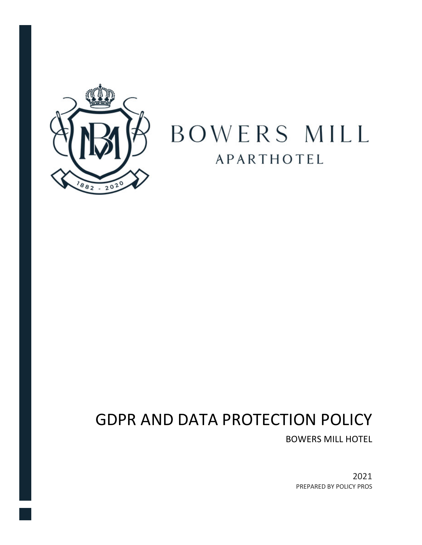

# BOWERS MILL **APARTHOTEL**

## GDPR AND DATA PROTECTION POLICY

BOWERS MILL HOTEL

2021 PREPARED BY POLICY PROS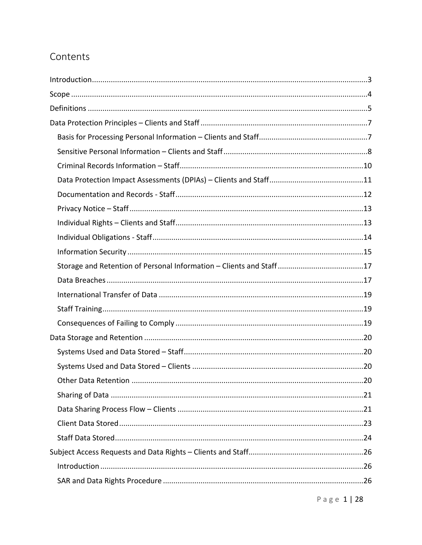## Contents

Page 1 | 28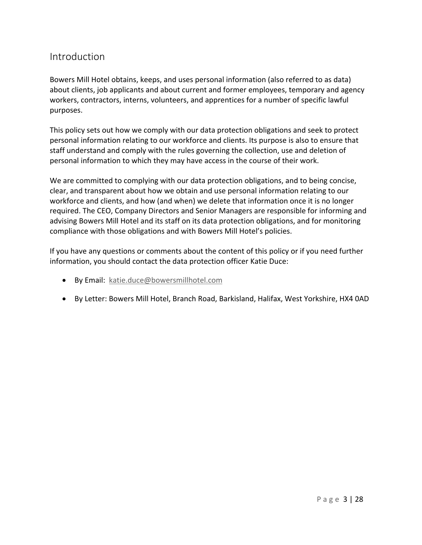## **Introduction**

Bowers Mill Hotel obtains, keeps, and uses personal information (also referred to as data) about clients, job applicants and about current and former employees, temporary and agency workers, contractors, interns, volunteers, and apprentices for a number of specific lawful purposes.

This policy sets out how we comply with our data protection obligations and seek to protect personal information relating to our workforce and clients. Its purpose is also to ensure that staff understand and comply with the rules governing the collection, use and deletion of personal information to which they may have access in the course of their work.

We are committed to complying with our data protection obligations, and to being concise, clear, and transparent about how we obtain and use personal information relating to our workforce and clients, and how (and when) we delete that information once it is no longer required. The CEO, Company Directors and Senior Managers are responsible for informing and advising Bowers Mill Hotel and its staff on its data protection obligations, and for monitoring compliance with those obligations and with Bowers Mill Hotel's policies.

If you have any questions or comments about the content of this policy or if you need further information, you should contact the data protection officer Katie Duce:

- By Email: katie.duce@bowersmillhotel.com
- By Letter: Bowers Mill Hotel, Branch Road, Barkisland, Halifax, West Yorkshire, HX4 0AD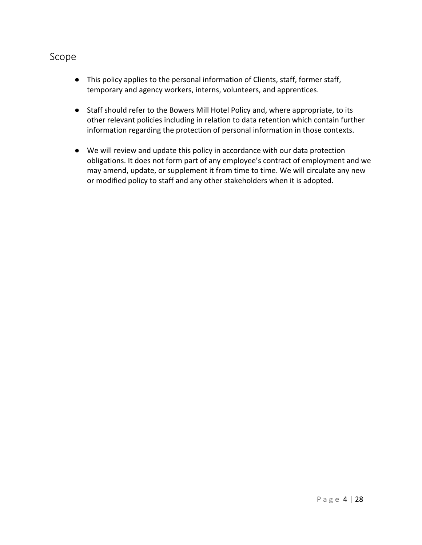### Scope

- This policy applies to the personal information of Clients, staff, former staff, temporary and agency workers, interns, volunteers, and apprentices.
- Staff should refer to the Bowers Mill Hotel Policy and, where appropriate, to its other relevant policies including in relation to data retention which contain further information regarding the protection of personal information in those contexts.
- We will review and update this policy in accordance with our data protection obligations. It does not form part of any employee's contract of employment and we may amend, update, or supplement it from time to time. We will circulate any new or modified policy to staff and any other stakeholders when it is adopted.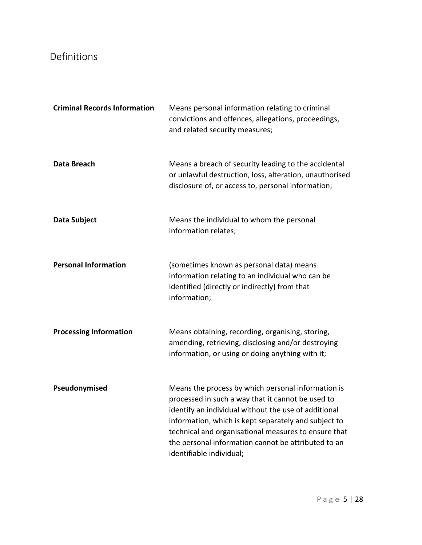## Definitions

| <b>Criminal Records Information</b> | Means personal information relating to criminal<br>convictions and offences, allegations, proceedings,<br>and related security measures;                                                                                                                                                                                                                           |
|-------------------------------------|--------------------------------------------------------------------------------------------------------------------------------------------------------------------------------------------------------------------------------------------------------------------------------------------------------------------------------------------------------------------|
| Data Breach                         | Means a breach of security leading to the accidental<br>or unlawful destruction, loss, alteration, unauthorised<br>disclosure of, or access to, personal information;                                                                                                                                                                                              |
| Data Subject                        | Means the individual to whom the personal<br>information relates;                                                                                                                                                                                                                                                                                                  |
| <b>Personal Information</b>         | (sometimes known as personal data) means<br>information relating to an individual who can be<br>identified (directly or indirectly) from that<br>information;                                                                                                                                                                                                      |
| <b>Processing Information</b>       | Means obtaining, recording, organising, storing,<br>amending, retrieving, disclosing and/or destroying<br>information, or using or doing anything with it;                                                                                                                                                                                                         |
| Pseudonymised                       | Means the process by which personal information is<br>processed in such a way that it cannot be used to<br>identify an individual without the use of additional<br>information, which is kept separately and subject to<br>technical and organisational measures to ensure that<br>the personal information cannot be attributed to an<br>identifiable individual; |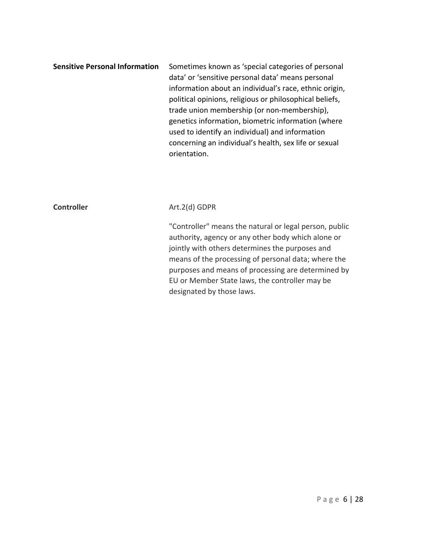**Sensitive Personal Information** Sometimes known as 'special categories of personal data' or 'sensitive personal data' means personal information about an individual's race, ethnic origin, political opinions, religious or philosophical beliefs, trade union membership (or non-membership), genetics information, biometric information (where used to identify an individual) and information concerning an individual's health, sex life or sexual orientation.

#### **Controller** Art.2(d) GDPR

"Controller" means the natural or legal person, public authority, agency or any other body which alone or jointly with others determines the purposes and means of the processing of personal data; where the purposes and means of processing are determined by EU or Member State laws, the controller may be designated by those laws.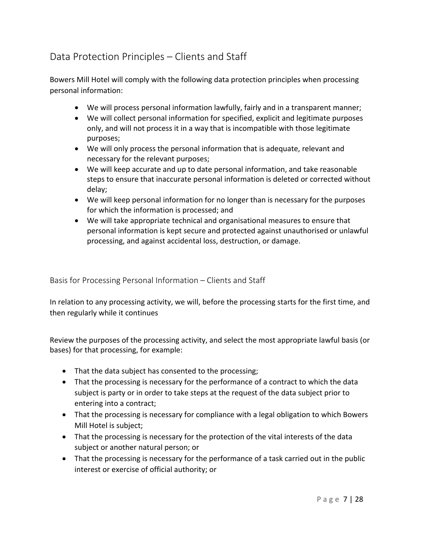## Data Protection Principles – Clients and Staff

Bowers Mill Hotel will comply with the following data protection principles when processing personal information:

- We will process personal information lawfully, fairly and in a transparent manner;
- We will collect personal information for specified, explicit and legitimate purposes only, and will not process it in a way that is incompatible with those legitimate purposes;
- We will only process the personal information that is adequate, relevant and necessary for the relevant purposes;
- We will keep accurate and up to date personal information, and take reasonable steps to ensure that inaccurate personal information is deleted or corrected without delay;
- We will keep personal information for no longer than is necessary for the purposes for which the information is processed; and
- We will take appropriate technical and organisational measures to ensure that personal information is kept secure and protected against unauthorised or unlawful processing, and against accidental loss, destruction, or damage.

Basis for Processing Personal Information – Clients and Staff

In relation to any processing activity, we will, before the processing starts for the first time, and then regularly while it continues

Review the purposes of the processing activity, and select the most appropriate lawful basis (or bases) for that processing, for example:

- That the data subject has consented to the processing;
- That the processing is necessary for the performance of a contract to which the data subject is party or in order to take steps at the request of the data subject prior to entering into a contract;
- That the processing is necessary for compliance with a legal obligation to which Bowers Mill Hotel is subject;
- That the processing is necessary for the protection of the vital interests of the data subject or another natural person; or
- That the processing is necessary for the performance of a task carried out in the public interest or exercise of official authority; or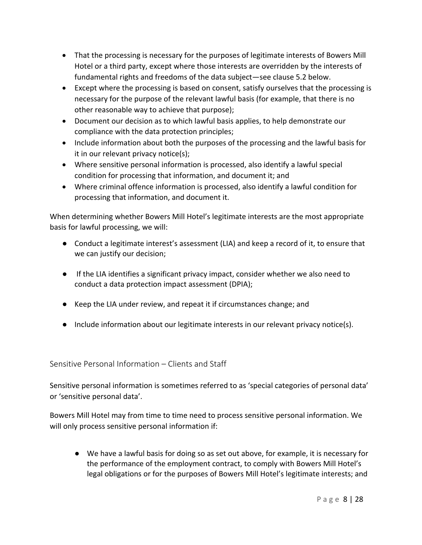- That the processing is necessary for the purposes of legitimate interests of Bowers Mill Hotel or a third party, except where those interests are overridden by the interests of fundamental rights and freedoms of the data subject—see clause 5.2 below.
- Except where the processing is based on consent, satisfy ourselves that the processing is necessary for the purpose of the relevant lawful basis (for example, that there is no other reasonable way to achieve that purpose);
- Document our decision as to which lawful basis applies, to help demonstrate our compliance with the data protection principles;
- Include information about both the purposes of the processing and the lawful basis for it in our relevant privacy notice(s);
- Where sensitive personal information is processed, also identify a lawful special condition for processing that information, and document it; and
- Where criminal offence information is processed, also identify a lawful condition for processing that information, and document it.

When determining whether Bowers Mill Hotel's legitimate interests are the most appropriate basis for lawful processing, we will:

- Conduct a legitimate interest's assessment (LIA) and keep a record of it, to ensure that we can justify our decision;
- If the LIA identifies a significant privacy impact, consider whether we also need to conduct a data protection impact assessment (DPIA);
- Keep the LIA under review, and repeat it if circumstances change; and
- Include information about our legitimate interests in our relevant privacy notice(s).

Sensitive Personal Information – Clients and Staff

Sensitive personal information is sometimes referred to as 'special categories of personal data' or 'sensitive personal data'.

Bowers Mill Hotel may from time to time need to process sensitive personal information. We will only process sensitive personal information if:

● We have a lawful basis for doing so as set out above, for example, it is necessary for the performance of the employment contract, to comply with Bowers Mill Hotel's legal obligations or for the purposes of Bowers Mill Hotel's legitimate interests; and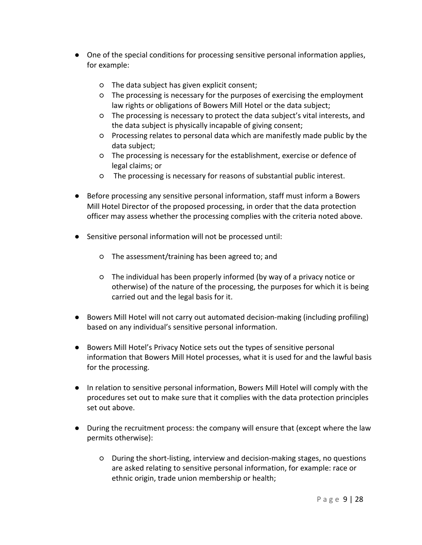- One of the special conditions for processing sensitive personal information applies, for example:
	- The data subject has given explicit consent;
	- The processing is necessary for the purposes of exercising the employment law rights or obligations of Bowers Mill Hotel or the data subject;
	- The processing is necessary to protect the data subject's vital interests, and the data subject is physically incapable of giving consent;
	- Processing relates to personal data which are manifestly made public by the data subject;
	- The processing is necessary for the establishment, exercise or defence of legal claims; or
	- The processing is necessary for reasons of substantial public interest.
- Before processing any sensitive personal information, staff must inform a Bowers Mill Hotel Director of the proposed processing, in order that the data protection officer may assess whether the processing complies with the criteria noted above.
- Sensitive personal information will not be processed until:
	- The assessment/training has been agreed to; and
	- The individual has been properly informed (by way of a privacy notice or otherwise) of the nature of the processing, the purposes for which it is being carried out and the legal basis for it.
- Bowers Mill Hotel will not carry out automated decision-making (including profiling) based on any individual's sensitive personal information.
- Bowers Mill Hotel's Privacy Notice sets out the types of sensitive personal information that Bowers Mill Hotel processes, what it is used for and the lawful basis for the processing.
- In relation to sensitive personal information, Bowers Mill Hotel will comply with the procedures set out to make sure that it complies with the data protection principles set out above.
- During the recruitment process: the company will ensure that (except where the law permits otherwise):
	- During the short-listing, interview and decision-making stages, no questions are asked relating to sensitive personal information, for example: race or ethnic origin, trade union membership or health;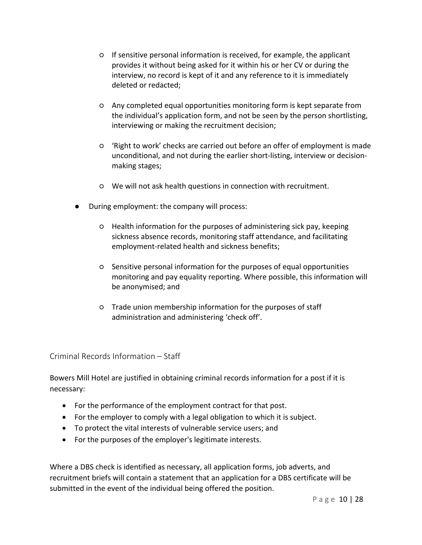- If sensitive personal information is received, for example, the applicant provides it without being asked for it within his or her CV or during the interview, no record is kept of it and any reference to it is immediately deleted or redacted;
- Any completed equal opportunities monitoring form is kept separate from the individual's application form, and not be seen by the person shortlisting, interviewing or making the recruitment decision;
- 'Right to work' checks are carried out before an offer of employment is made unconditional, and not during the earlier short-listing, interview or decisionmaking stages;
- We will not ask health questions in connection with recruitment.
- During employment: the company will process:
	- Health information for the purposes of administering sick pay, keeping sickness absence records, monitoring staff attendance, and facilitating employment-related health and sickness benefits;
	- Sensitive personal information for the purposes of equal opportunities monitoring and pay equality reporting. Where possible, this information will be anonymised; and
	- Trade union membership information for the purposes of staff administration and administering 'check off'.

Criminal Records Information – Staff

Bowers Mill Hotel are justified in obtaining criminal records information for a post if it is necessary:

- For the performance of the employment contract for that post.
- For the employer to comply with a legal obligation to which it is subject.
- To protect the vital interests of vulnerable service users; and
- For the purposes of the employer's legitimate interests.

Where a DBS check is identified as necessary, all application forms, job adverts, and recruitment briefs will contain a statement that an application for a DBS certificate will be submitted in the event of the individual being offered the position.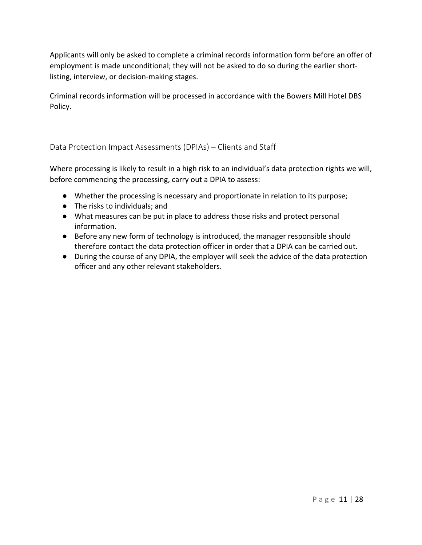Applicants will only be asked to complete a criminal records information form before an offer of employment is made unconditional; they will not be asked to do so during the earlier shortlisting, interview, or decision-making stages.

Criminal records information will be processed in accordance with the Bowers Mill Hotel DBS Policy.

Data Protection Impact Assessments (DPIAs) – Clients and Staff

Where processing is likely to result in a high risk to an individual's data protection rights we will, before commencing the processing, carry out a DPIA to assess:

- Whether the processing is necessary and proportionate in relation to its purpose;
- The risks to individuals; and
- What measures can be put in place to address those risks and protect personal information.
- Before any new form of technology is introduced, the manager responsible should therefore contact the data protection officer in order that a DPIA can be carried out.
- During the course of any DPIA, the employer will seek the advice of the data protection officer and any other relevant stakeholders.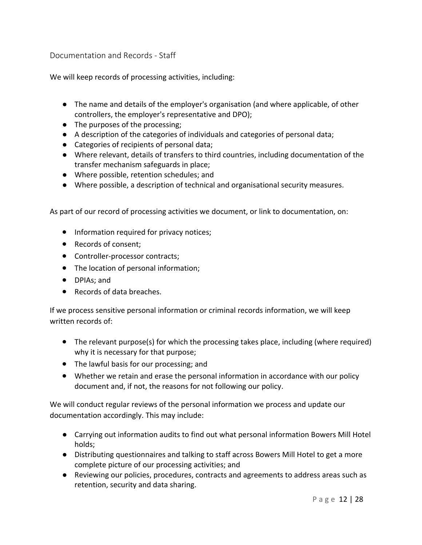Documentation and Records - Staff

We will keep records of processing activities, including:

- The name and details of the employer's organisation (and where applicable, of other controllers, the employer's representative and DPO);
- The purposes of the processing;
- A description of the categories of individuals and categories of personal data;
- Categories of recipients of personal data;
- Where relevant, details of transfers to third countries, including documentation of the transfer mechanism safeguards in place;
- Where possible, retention schedules; and
- Where possible, a description of technical and organisational security measures.

As part of our record of processing activities we document, or link to documentation, on:

- Information required for privacy notices;
- Records of consent;
- Controller-processor contracts;
- The location of personal information;
- DPIAs; and
- Records of data breaches.

If we process sensitive personal information or criminal records information, we will keep written records of:

- The relevant purpose(s) for which the processing takes place, including (where required) why it is necessary for that purpose;
- The lawful basis for our processing; and
- Whether we retain and erase the personal information in accordance with our policy document and, if not, the reasons for not following our policy.

We will conduct regular reviews of the personal information we process and update our documentation accordingly. This may include:

- Carrying out information audits to find out what personal information Bowers Mill Hotel holds;
- Distributing questionnaires and talking to staff across Bowers Mill Hotel to get a more complete picture of our processing activities; and
- Reviewing our policies, procedures, contracts and agreements to address areas such as retention, security and data sharing.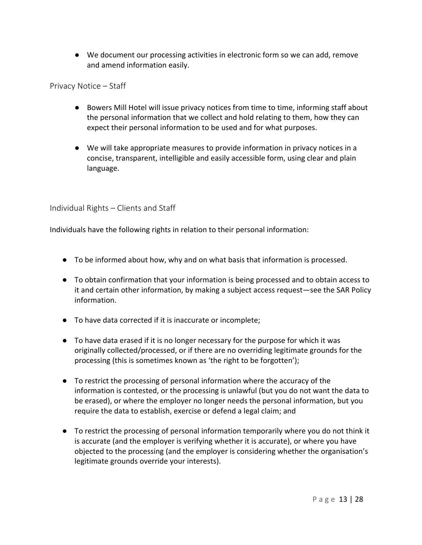● We document our processing activities in electronic form so we can add, remove and amend information easily.

Privacy Notice – Staff

- Bowers Mill Hotel will issue privacy notices from time to time, informing staff about the personal information that we collect and hold relating to them, how they can expect their personal information to be used and for what purposes.
- We will take appropriate measures to provide information in privacy notices in a concise, transparent, intelligible and easily accessible form, using clear and plain language.

Individual Rights – Clients and Staff

Individuals have the following rights in relation to their personal information:

- To be informed about how, why and on what basis that information is processed.
- To obtain confirmation that your information is being processed and to obtain access to it and certain other information, by making a subject access request—see the SAR Policy information.
- To have data corrected if it is inaccurate or incomplete;
- To have data erased if it is no longer necessary for the purpose for which it was originally collected/processed, or if there are no overriding legitimate grounds for the processing (this is sometimes known as 'the right to be forgotten');
- To restrict the processing of personal information where the accuracy of the information is contested, or the processing is unlawful (but you do not want the data to be erased), or where the employer no longer needs the personal information, but you require the data to establish, exercise or defend a legal claim; and
- To restrict the processing of personal information temporarily where you do not think it is accurate (and the employer is verifying whether it is accurate), or where you have objected to the processing (and the employer is considering whether the organisation's legitimate grounds override your interests).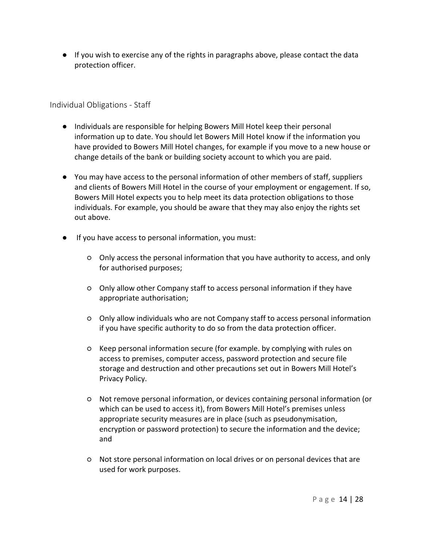● If you wish to exercise any of the rights in paragraphs above, please contact the data protection officer.

Individual Obligations - Staff

- Individuals are responsible for helping Bowers Mill Hotel keep their personal information up to date. You should let Bowers Mill Hotel know if the information you have provided to Bowers Mill Hotel changes, for example if you move to a new house or change details of the bank or building society account to which you are paid.
- You may have access to the personal information of other members of staff, suppliers and clients of Bowers Mill Hotel in the course of your employment or engagement. If so, Bowers Mill Hotel expects you to help meet its data protection obligations to those individuals. For example, you should be aware that they may also enjoy the rights set out above.
- If you have access to personal information, you must:
	- Only access the personal information that you have authority to access, and only for authorised purposes;
	- Only allow other Company staff to access personal information if they have appropriate authorisation;
	- Only allow individuals who are not Company staff to access personal information if you have specific authority to do so from the data protection officer.
	- Keep personal information secure (for example. by complying with rules on access to premises, computer access, password protection and secure file storage and destruction and other precautions set out in Bowers Mill Hotel's Privacy Policy.
	- Not remove personal information, or devices containing personal information (or which can be used to access it), from Bowers Mill Hotel's premises unless appropriate security measures are in place (such as pseudonymisation, encryption or password protection) to secure the information and the device; and
	- Not store personal information on local drives or on personal devices that are used for work purposes.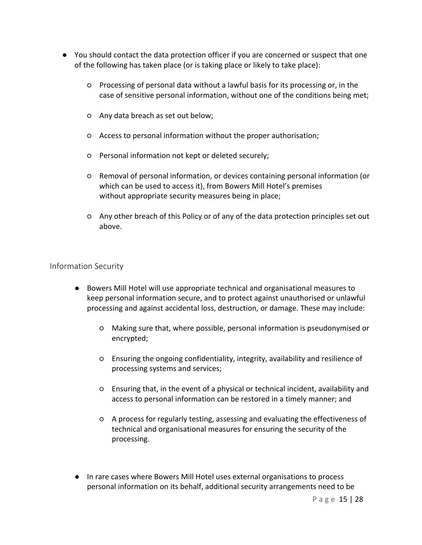- You should contact the data protection officer if you are concerned or suspect that one of the following has taken place (or is taking place or likely to take place):
	- Processing of personal data without a lawful basis for its processing or, in the case of sensitive personal information, without one of the conditions being met;
	- Any data breach as set out below;
	- Access to personal information without the proper authorisation;
	- Personal information not kept or deleted securely;
	- Removal of personal information, or devices containing personal information (or which can be used to access it), from Bowers Mill Hotel's premises without appropriate security measures being in place;
	- Any other breach of this Policy or of any of the data protection principles set out above.

#### Information Security

- Bowers Mill Hotel will use appropriate technical and organisational measures to keep personal information secure, and to protect against unauthorised or unlawful processing and against accidental loss, destruction, or damage. These may include:
	- Making sure that, where possible, personal information is pseudonymised or encrypted;
	- Ensuring the ongoing confidentiality, integrity, availability and resilience of processing systems and services;
	- Ensuring that, in the event of a physical or technical incident, availability and access to personal information can be restored in a timely manner; and
	- A process for regularly testing, assessing and evaluating the effectiveness of technical and organisational measures for ensuring the security of the processing.
- In rare cases where Bowers Mill Hotel uses external organisations to process personal information on its behalf, additional security arrangements need to be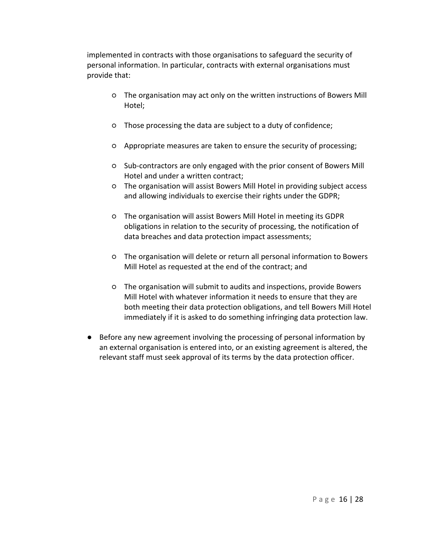implemented in contracts with those organisations to safeguard the security of personal information. In particular, contracts with external organisations must provide that:

- The organisation may act only on the written instructions of Bowers Mill Hotel;
- Those processing the data are subject to a duty of confidence;
- Appropriate measures are taken to ensure the security of processing;
- Sub-contractors are only engaged with the prior consent of Bowers Mill Hotel and under a written contract;
- The organisation will assist Bowers Mill Hotel in providing subject access and allowing individuals to exercise their rights under the GDPR;
- The organisation will assist Bowers Mill Hotel in meeting its GDPR obligations in relation to the security of processing, the notification of data breaches and data protection impact assessments;
- The organisation will delete or return all personal information to Bowers Mill Hotel as requested at the end of the contract; and
- The organisation will submit to audits and inspections, provide Bowers Mill Hotel with whatever information it needs to ensure that they are both meeting their data protection obligations, and tell Bowers Mill Hotel immediately if it is asked to do something infringing data protection law.
- Before any new agreement involving the processing of personal information by an external organisation is entered into, or an existing agreement is altered, the relevant staff must seek approval of its terms by the data protection officer.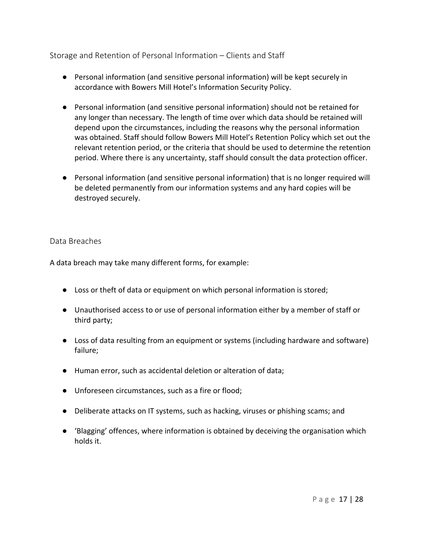Storage and Retention of Personal Information – Clients and Staff

- Personal information (and sensitive personal information) will be kept securely in accordance with Bowers Mill Hotel's Information Security Policy.
- Personal information (and sensitive personal information) should not be retained for any longer than necessary. The length of time over which data should be retained will depend upon the circumstances, including the reasons why the personal information was obtained. Staff should follow Bowers Mill Hotel's Retention Policy which set out the relevant retention period, or the criteria that should be used to determine the retention period. Where there is any uncertainty, staff should consult the data protection officer.
- Personal information (and sensitive personal information) that is no longer required will be deleted permanently from our information systems and any hard copies will be destroyed securely.

#### Data Breaches

A data breach may take many different forms, for example:

- Loss or theft of data or equipment on which personal information is stored;
- Unauthorised access to or use of personal information either by a member of staff or third party;
- Loss of data resulting from an equipment or systems (including hardware and software) failure;
- Human error, such as accidental deletion or alteration of data;
- Unforeseen circumstances, such as a fire or flood;
- Deliberate attacks on IT systems, such as hacking, viruses or phishing scams; and
- 'Blagging' offences, where information is obtained by deceiving the organisation which holds it.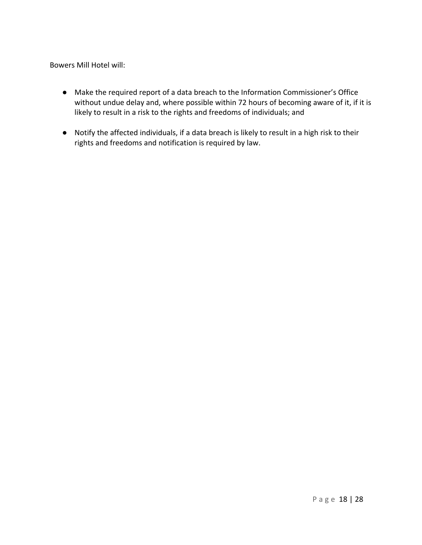Bowers Mill Hotel will:

- Make the required report of a data breach to the Information Commissioner's Office without undue delay and, where possible within 72 hours of becoming aware of it, if it is likely to result in a risk to the rights and freedoms of individuals; and
- Notify the affected individuals, if a data breach is likely to result in a high risk to their rights and freedoms and notification is required by law.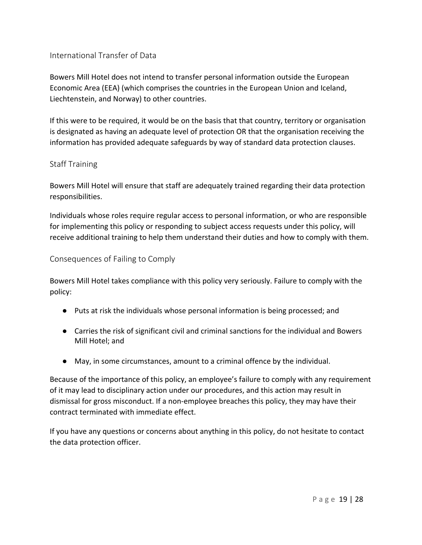#### International Transfer of Data

Bowers Mill Hotel does not intend to transfer personal information outside the European Economic Area (EEA) (which comprises the countries in the European Union and Iceland, Liechtenstein, and Norway) to other countries.

If this were to be required, it would be on the basis that that country, territory or organisation is designated as having an adequate level of protection OR that the organisation receiving the information has provided adequate safeguards by way of standard data protection clauses.

#### Staff Training

Bowers Mill Hotel will ensure that staff are adequately trained regarding their data protection responsibilities.

Individuals whose roles require regular access to personal information, or who are responsible for implementing this policy or responding to subject access requests under this policy, will receive additional training to help them understand their duties and how to comply with them.

#### Consequences of Failing to Comply

Bowers Mill Hotel takes compliance with this policy very seriously. Failure to comply with the policy:

- Puts at risk the individuals whose personal information is being processed; and
- Carries the risk of significant civil and criminal sanctions for the individual and Bowers Mill Hotel; and
- May, in some circumstances, amount to a criminal offence by the individual.

Because of the importance of this policy, an employee's failure to comply with any requirement of it may lead to disciplinary action under our procedures, and this action may result in dismissal for gross misconduct. If a non-employee breaches this policy, they may have their contract terminated with immediate effect.

If you have any questions or concerns about anything in this policy, do not hesitate to contact the data protection officer.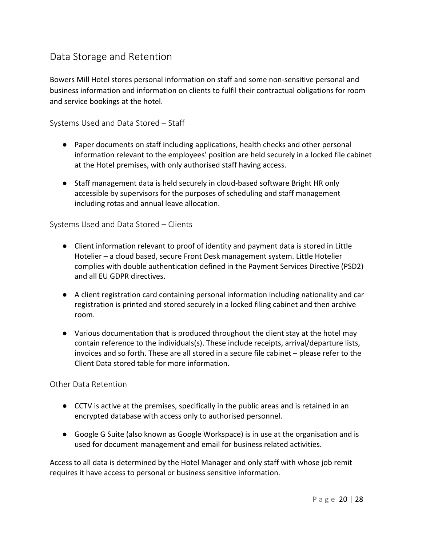## Data Storage and Retention

Bowers Mill Hotel stores personal information on staff and some non-sensitive personal and business information and information on clients to fulfil their contractual obligations for room and service bookings at the hotel.

Systems Used and Data Stored – Staff

- Paper documents on staff including applications, health checks and other personal information relevant to the employees' position are held securely in a locked file cabinet at the Hotel premises, with only authorised staff having access.
- Staff management data is held securely in cloud-based software Bright HR only accessible by supervisors for the purposes of scheduling and staff management including rotas and annual leave allocation.

#### Systems Used and Data Stored – Clients

- Client information relevant to proof of identity and payment data is stored in Little Hotelier – a cloud based, secure Front Desk management system. Little Hotelier complies with double authentication defined in the Payment Services Directive (PSD2) and all EU GDPR directives.
- A client registration card containing personal information including nationality and car registration is printed and stored securely in a locked filing cabinet and then archive room.
- Various documentation that is produced throughout the client stay at the hotel may contain reference to the individuals(s). These include receipts, arrival/departure lists, invoices and so forth. These are all stored in a secure file cabinet – please refer to the Client Data stored table for more information.

#### Other Data Retention

- CCTV is active at the premises, specifically in the public areas and is retained in an encrypted database with access only to authorised personnel.
- Google G Suite (also known as Google Workspace) is in use at the organisation and is used for document management and email for business related activities.

Access to all data is determined by the Hotel Manager and only staff with whose job remit requires it have access to personal or business sensitive information.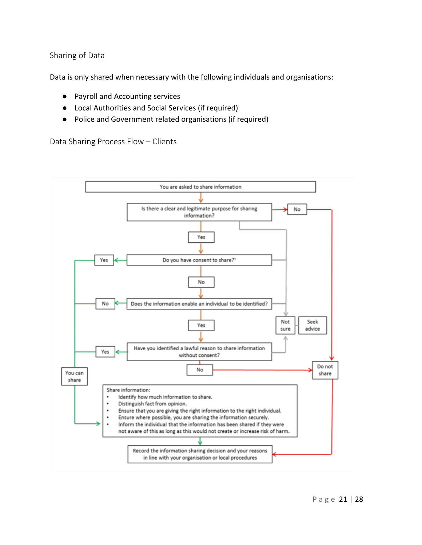#### Sharing of Data

Data is only shared when necessary with the following individuals and organisations:

- Payroll and Accounting services
- Local Authorities and Social Services (if required)
- Police and Government related organisations (if required)

Data Sharing Process Flow – Clients

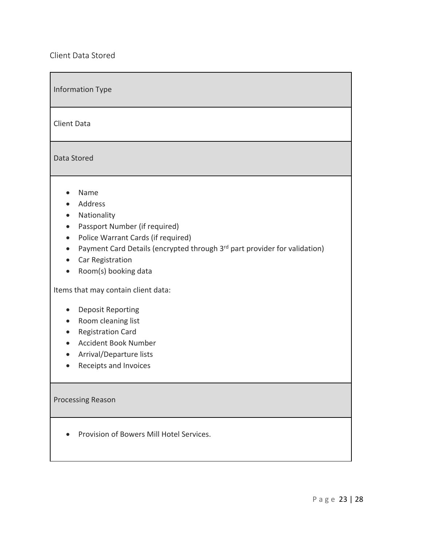Client Data Stored

| <b>Information Type</b>                                                                                                                                                                                                                                                                         |
|-------------------------------------------------------------------------------------------------------------------------------------------------------------------------------------------------------------------------------------------------------------------------------------------------|
| <b>Client Data</b>                                                                                                                                                                                                                                                                              |
| Data Stored                                                                                                                                                                                                                                                                                     |
| Name<br>Address<br>Nationality<br>$\bullet$<br>Passport Number (if required)<br>$\bullet$<br>Police Warrant Cards (if required)<br>$\bullet$<br>Payment Card Details (encrypted through 3rd part provider for validation)<br>$\bullet$<br>Car Registration<br>$\bullet$<br>Room(s) booking data |
| Items that may contain client data:<br><b>Deposit Reporting</b><br>Room cleaning list<br><b>Registration Card</b><br>$\bullet$<br><b>Accident Book Number</b><br>$\bullet$<br>Arrival/Departure lists<br>Receipts and Invoices                                                                  |
| <b>Processing Reason</b>                                                                                                                                                                                                                                                                        |
| Provision of Bowers Mill Hotel Services.                                                                                                                                                                                                                                                        |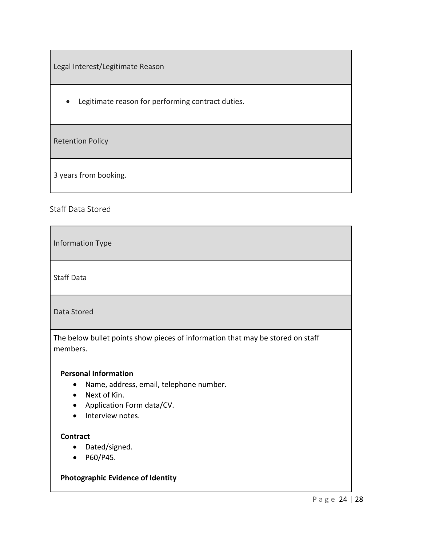Legal Interest/Legitimate Reason

• Legitimate reason for performing contract duties.

Retention Policy

3 years from booking.

#### Staff Data Stored

Information Type

Staff Data

Data Stored

The below bullet points show pieces of information that may be stored on staff members.

#### **Personal Information**

- Name, address, email, telephone number.
- Next of Kin.
- Application Form data/CV.
- Interview notes.

#### **Contract**

- Dated/signed.
- P60/P45.

#### **Photographic Evidence of Identity**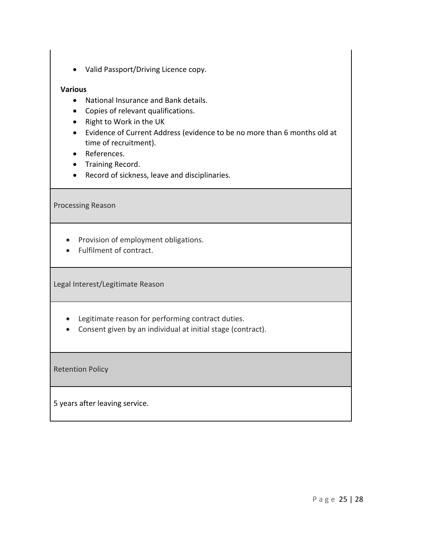• Valid Passport/Driving Licence copy.

#### **Various**

- National Insurance and Bank details.
- Copies of relevant qualifications.
- Right to Work in the UK
- Evidence of Current Address (evidence to be no more than 6 months old at time of recruitment).
- References.
- Training Record.
- Record of sickness, leave and disciplinaries.

Processing Reason

- Provision of employment obligations.
- Fulfilment of contract.

Legal Interest/Legitimate Reason

- Legitimate reason for performing contract duties.
- Consent given by an individual at initial stage (contract).

Retention Policy

5 years after leaving service.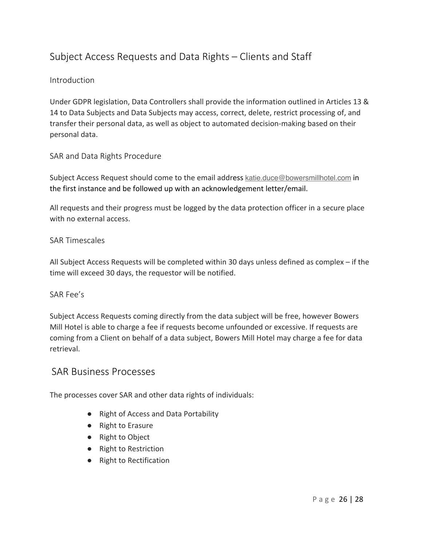## Subject Access Requests and Data Rights – Clients and Staff

#### Introduction

Under GDPR legislation, Data Controllers shall provide the information outlined in Articles 13 & 14 to Data Subjects and Data Subjects may access, correct, delete, restrict processing of, and transfer their personal data, as well as object to automated decision-making based on their personal data.

#### SAR and Data Rights Procedure

Subject Access Request should come to the email address katie.duce@bowersmillhotel.com in the first instance and be followed up with an acknowledgement letter/email.

All requests and their progress must be logged by the data protection officer in a secure place with no external access.

#### SAR Timescales

All Subject Access Requests will be completed within 30 days unless defined as complex – if the time will exceed 30 days, the requestor will be notified.

#### SAR Fee's

Subject Access Requests coming directly from the data subject will be free, however Bowers Mill Hotel is able to charge a fee if requests become unfounded or excessive. If requests are coming from a Client on behalf of a data subject, Bowers Mill Hotel may charge a fee for data retrieval.

#### SAR Business Processes

The processes cover SAR and other data rights of individuals:

- Right of Access and Data Portability
- Right to Erasure
- Right to Object
- Right to Restriction
- Right to Rectification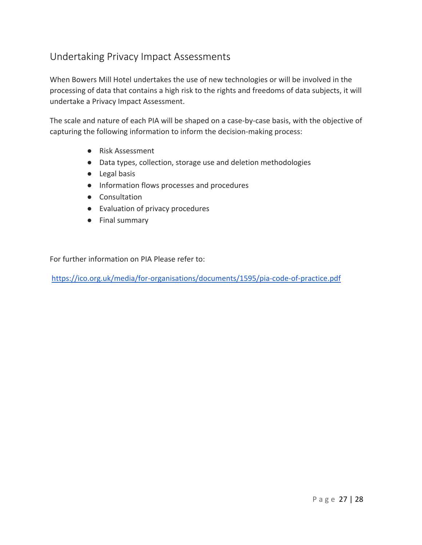## Undertaking Privacy Impact Assessments

When Bowers Mill Hotel undertakes the use of new technologies or will be involved in the processing of data that contains a high risk to the rights and freedoms of data subjects, it will undertake a Privacy Impact Assessment.

The scale and nature of each PIA will be shaped on a case-by-case basis, with the objective of capturing the following information to inform the decision-making process:

- Risk Assessment
- Data types, collection, storage use and deletion methodologies
- Legal basis
- Information flows processes and procedures
- Consultation
- Evaluation of privacy procedures
- Final summary

For further information on PIA Please refer to:

https://ico.org.uk/media/for-organisations/documents/1595/pia-code-of-practice.pdf